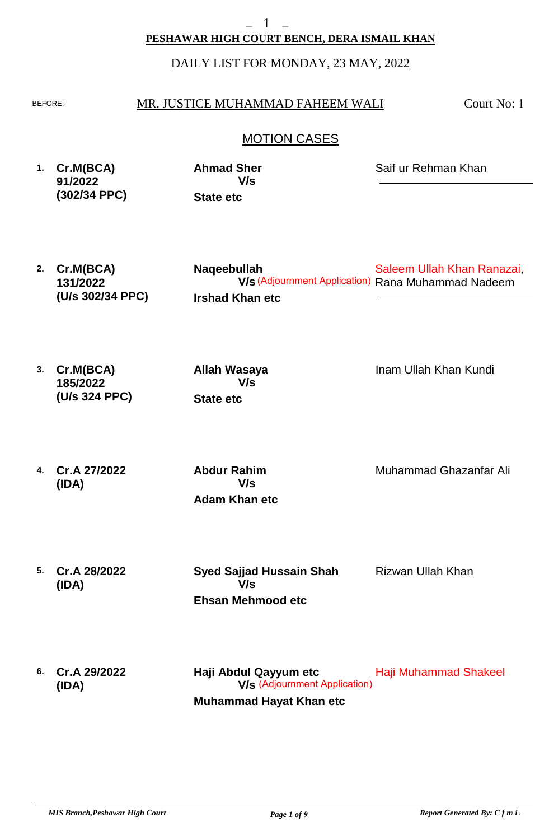#### **PESHAWAR HIGH COURT BENCH, DERA ISMAIL KHAN**

#### DAILY LIST FOR MONDAY, 23 MAY, 2022

#### BEFORE: MR. JUSTICE MUHAMMAD FAHEEM WALI

Court No: 1

#### MOTION CASES

- **1. Cr.M(BCA) 91/2022 (302/34 PPC) State etc Ahmad Sher** Saif ur Rehman Khan **V/s**
- **2. Cr.M(BCA) 131/2022 (U/s 302/34 PPC) Irshad Khan etc Naqeebullah** Saleem Ullah Khan Ranazai, **V/s** (Adjournment Application) Rana Muhammad Nadeem
- **3. Cr.M(BCA) 185/2022 (U/s 324 PPC) State etc Allah Wasaya**

Inam Ullah Khan Kundi

**4. Cr.A 27/2022 (IDA)**

**Adam Khan etc Abdur Rahim V/s**

**V/s**

Muhammad Ghazanfar Ali

**5. Cr.A 28/2022 (IDA)**

**Ehsan Mehmood etc Syed Sajjad Hussain Shah V/s**

Rizwan Ullah Khan

**6. Cr.A 29/2022 (IDA) Muhammad Hayat Khan etc Haji Abdul Qayyum etc** Haji Muhammad Shakeel **V/s** (Adjournment Application)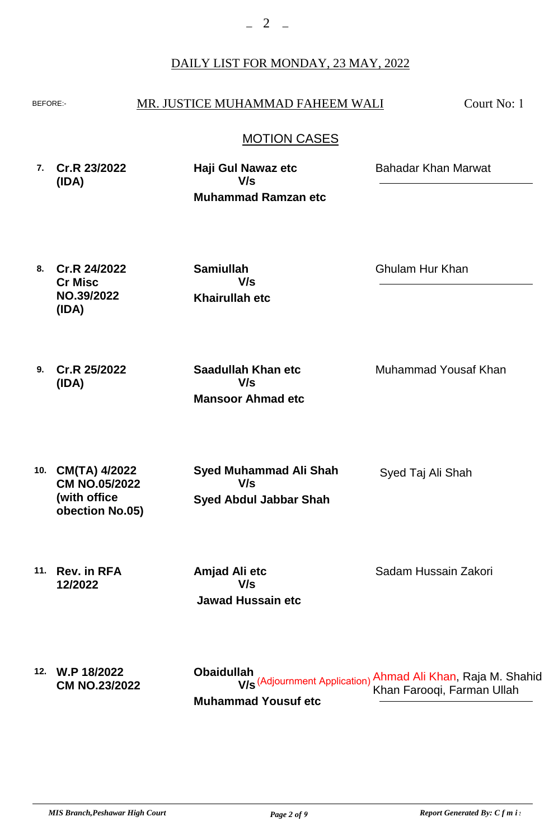#### BEFORE: MR. JUSTICE MUHAMMAD FAHEEM WALI

Court No: 1

#### MOTION CASES

| 7. Cr.R 23/2022<br>(IDA) | Haji Gul Nawaz etc<br>V/s  | <b>Bahadar Khan Marwat</b> |
|--------------------------|----------------------------|----------------------------|
|                          | <b>Muhammad Ramzan etc</b> |                            |

**8. Cr.R 24/2022 Cr Misc NO.39/2022 (IDA)**

**Khairullah etc Samiullah V/s**

Ghulam Hur Khan

**9. Cr.R 25/2022 (IDA)**

**Mansoor Ahmad etc Saadullah Khan etc V/s**

Muhammad Yousaf Khan

**10. CM(TA) 4/2022 CM NO.05/2022 (with office obection No.05) Syed Abdul Jabbar Shah Syed Muhammad Ali Shah V/s**

**11. Rev. in RFA 12/2022**

 **Jawad Hussain etc Amjad Ali etc V/s**

Sadam Hussain Zakori

Syed Taj Ali Shah

**12. W.P 18/2022 CM NO.23/2022 Muhammad Yousuf etc Obaidullah** Ahmad Ali Khan, Raja M. Shahid الاح (Adjournment Application) הוא האם **V/s**<br>Khan Farooqi, Farman Ullah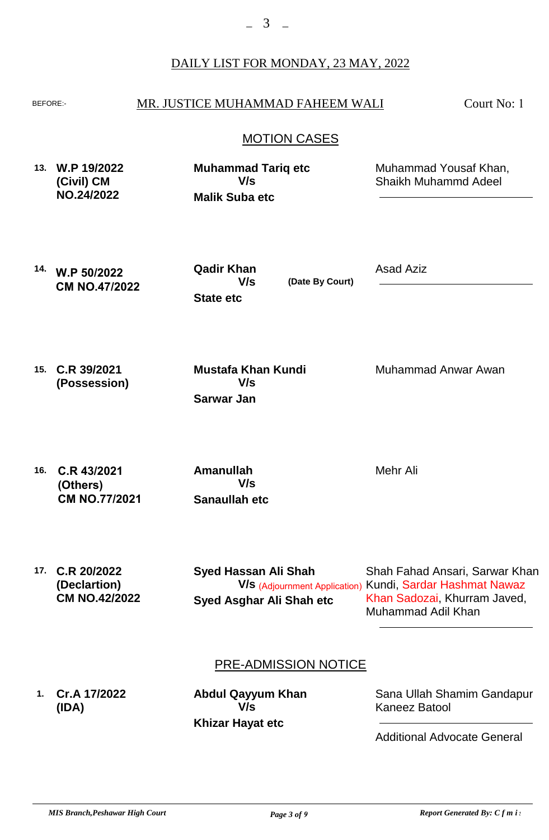#### BEFORE: MR. JUSTICE MUHAMMAD FAHEEM WALI

Court No: 1

#### MOTION CASES

- **13. W.P 19/2022 (Civil) CM NO.24/2022 Malik Suba etc Muhammad Tariq etc** Muhammad Yousaf Khan, Shaikh Muhammd Adeel **V/s**
- **14. W.P 50/2022 CM NO.47/2022**

**State etc Qadir Khan V/s**

**(Date By Court)**

Asad Aziz

**15. C.R 39/2021 (Possession)**

**Sarwar Jan Mustafa Khan Kundi V/s**

Muhammad Anwar Awan

**16. C.R 43/2021 (Others) CM NO.77/2021**

**Sanaullah etc Amanullah V/s**

Mehr Ali

**17. C.R 20/2022 (Declartion) CM NO.42/2022**

**Syed Asghar Ali Shah etc Syed Hassan Ali Shah**

Shah Fahad Ansari, Sarwar Khan **V/s** (Adjournment Application) Kundi, Sardar Hashmat Nawaz Khan Sadozai, Khurram Javed, Muhammad Adil Khan

#### PRE-ADMISSION NOTICE

**1. Cr.A 17/2022 (IDA)**

**Khizar Hayat etc Abdul Qayyum Khan V/s**

Sana Ullah Shamim Gandapur, Kaneez Batool

Additional Advocate General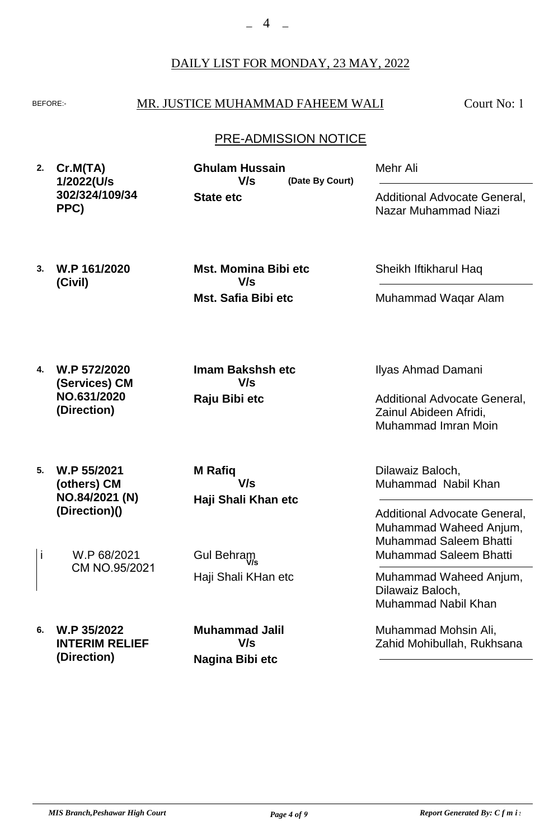#### BEFORE: MR. JUSTICE MUHAMMAD FAHEEM WALI

Court No: 1

#### PRE-ADMISSION NOTICE

**2. Cr.M(TA) 1/2022(U/s 302/324/109/34 PPC)**

**3. W.P 161/2020**

**(Civil)**

**State etc (Date By Court) Ghulam Hussain V/s**

Sheikh Iftikharul Haq

Mehr Ali

Muhammad Waqar Alam

Additional Advocate General,

Nazar Muhammad Niazi

**4. W.P 572/2020 (Services) CM NO.631/2020 (Direction)**

**Raju Bibi etc Imam Bakshsh etc V/s**

**Mst. Safia Bibi etc**

**V/s**

**Mst. Momina Bibi etc**

**5. W.P 55/2021 (others) CM NO.84/2021 (N) (Direction)()**

**Haji Shali Khan etc M Rafiq V/s**

W.P 68/2021 i W.P 68/2021 Gul Behram CM NO.95/2021

Haji Shali KHan etc

**6. W.P 35/2022 INTERIM RELIEF (Direction) Nagina Bibi etc Muhammad Jalil V/s**

Ilyas Ahmad Damani

Additional Advocate General, Zainul Abideen Afridi, Muhammad Imran Moin

Dilawaiz Baloch, Muhammad Nabil Khan

Additional Advocate General, Muhammad Waheed Anjum, Muhammad Saleem Bhatti Muhammad Saleem Bhatti

Muhammad Waheed Anjum, Dilawaiz Baloch, Muhammad Nabil Khan

Muhammad Mohsin Ali, Zahid Mohibullah, Rukhsana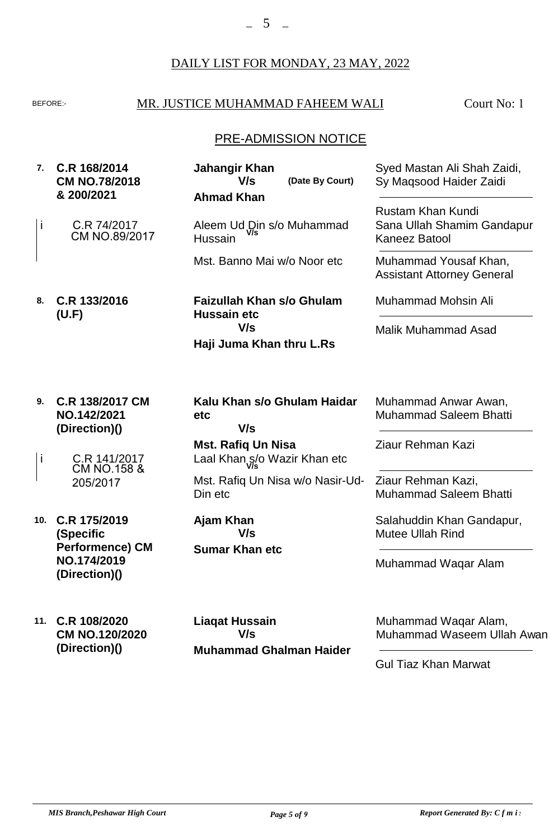### BEFORE: MR. JUSTICE MUHAMMAD FAHEEM WALI

Court No: 1

# PRE-ADMISSION NOTICE

| 7.  | C.R 168/2014<br><b>CM NO.78/2018</b><br>& 200/2021                                  | Jahangir Khan<br>V/s<br>(Date By Court)<br><b>Ahmad Khan</b>   | Syed Mastan Ali Shah Zaidi,<br>Sy Maqsood Haider Zaidi                      |
|-----|-------------------------------------------------------------------------------------|----------------------------------------------------------------|-----------------------------------------------------------------------------|
| İ   | C.R 74/2017<br>CM NO.89/2017                                                        | Aleem Ud Din s/o Muhammad<br>Hussain                           | <b>Rustam Khan Kundi</b><br>Sana Ullah Shamim Gandapur<br>Kaneez Batool     |
|     |                                                                                     | Mst. Banno Mai w/o Noor etc                                    | Muhammad Yousaf Khan,<br><b>Assistant Attorney General</b>                  |
| 8.  | C.R 133/2016<br>(U.F)                                                               | <b>Faizullah Khan s/o Ghulam</b><br><b>Hussain etc</b>         | <b>Muhammad Mohsin Ali</b>                                                  |
|     |                                                                                     | V/s<br>Haji Juma Khan thru L.Rs                                | <b>Malik Muhammad Asad</b>                                                  |
| 9.  | C.R 138/2017 CM<br>NO.142/2021<br>(Direction)()                                     | Kalu Khan s/o Ghulam Haidar<br>etc<br>V/s                      | Muhammad Anwar Awan,<br><b>Muhammad Saleem Bhatti</b>                       |
| j   | C.R 141/2017                                                                        | <b>Mst. Rafiq Un Nisa</b><br>Laal Khan s/o Wazir Khan etc      | Ziaur Rehman Kazi                                                           |
|     | <b>CM NO.158 &amp;</b><br>205/2017                                                  | Mst. Rafiq Un Nisa w/o Nasir-Ud-<br>Din etc                    | Ziaur Rehman Kazi,<br><b>Muhammad Saleem Bhatti</b>                         |
| 10. | C.R 175/2019<br>(Specific<br><b>Performence) CM</b><br>NO.174/2019<br>(Direction)() | Ajam Khan<br>V/s<br><b>Sumar Khan etc</b>                      | Salahuddin Khan Gandapur,<br><b>Mutee Ullah Rind</b><br>Muhammad Waqar Alam |
| 11. | C.R 108/2020<br>CM NO.120/2020<br>(Direction)()                                     | <b>Liagat Hussain</b><br>V/s<br><b>Muhammad Ghalman Haider</b> | Muhammad Waqar Alam,<br>Muhammad Waseem Ullah Awan                          |

Gul Tiaz Khan Marwat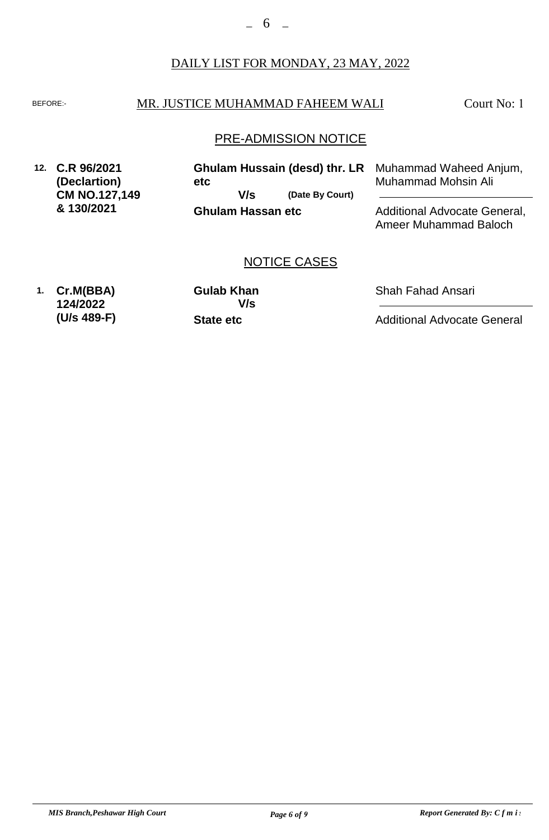#### BEFORE: MR. JUSTICE MUHAMMAD FAHEEM WALI

Court No: 1

#### PRE-ADMISSION NOTICE

NOTICE CASES

**12. C.R 96/2021 (Declartion) CM NO.127,149 & 130/2021 Ghulam Hassan etc (Date By Court) Ghulam Hussain (desd) thr. LR etc** Muhammad Waheed Anjum, Muhammad Mohsin Ali Additional Advocate General, **V/s**

Ameer Muhammad Baloch

Shah Fahad Ansari

Additional Advocate General

**1. Cr.M(BBA) 124/2022 (U/s 489-F)** **State etc Gulab Khan V/s**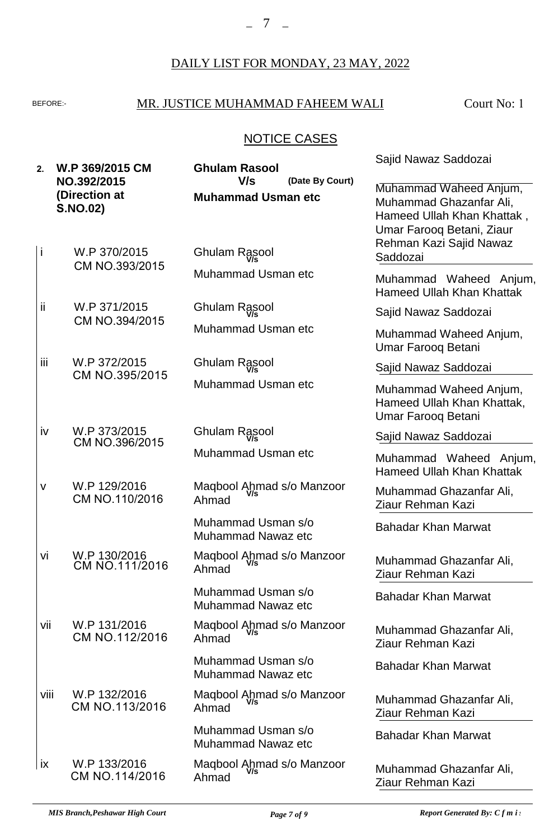#### $-7$   $-$

#### DAILY LIST FOR MONDAY, 23 MAY, 2022

## BEFORE: MR. JUSTICE MUHAMMAD FAHEEM WALI

Court No: 1

# NOTICE CASES

| 2.        | W.P 369/2015 CM<br>NO.392/2015<br>(Direction at<br><b>S.NO.02)</b> | <b>Ghulam Rasool</b><br>V/s<br>(Date By Court)<br><b>Muhammad Usman etc</b> | Sajid Nawaz Saddozai<br>Muhammad Waheed Anjum,<br>Muhammad Ghazanfar Ali,<br>Hameed Ullah Khan Khattak, |
|-----------|--------------------------------------------------------------------|-----------------------------------------------------------------------------|---------------------------------------------------------------------------------------------------------|
| İ         | W.P 370/2015<br>CM NO.393/2015                                     | Ghulam Rasool                                                               | Umar Farooq Betani, Ziaur<br>Rehman Kazi Sajid Nawaz<br>Saddozai                                        |
|           |                                                                    | Muhammad Usman etc                                                          | Muhammad Waheed Anjum,<br><b>Hameed Ullah Khan Khattak</b>                                              |
| ii        | W.P 371/2015<br>CM NO.394/2015                                     | Ghulam Rasool                                                               | Sajid Nawaz Saddozai                                                                                    |
|           |                                                                    | Muhammad Usman etc                                                          | Muhammad Waheed Anjum,<br>Umar Farooq Betani                                                            |
| iii.      | W.P 372/2015<br>CM NO.395/2015                                     | <b>Ghulam Rasool</b>                                                        | Sajid Nawaz Saddozai                                                                                    |
|           |                                                                    | Muhammad Usman etc                                                          | Muhammad Waheed Anjum,<br>Hameed Ullah Khan Khattak,<br>Umar Farooq Betani                              |
| iv        | W.P 373/2015<br>CM NO.396/2015                                     | <b>Ghulam Rasool</b>                                                        | Sajid Nawaz Saddozai                                                                                    |
|           |                                                                    | Muhammad Usman etc                                                          | Muhammad Waheed Anjum,<br><b>Hameed Ullah Khan Khattak</b>                                              |
| V         | W.P 129/2016<br>CM NO.110/2016                                     | Maqbool Ahmad s/o Manzoor<br>Ahmad                                          | Muhammad Ghazanfar Ali,<br>Ziaur Rehman Kazi                                                            |
|           |                                                                    | Muhammad Usman s/o<br><b>Muhammad Nawaz etc</b>                             | <b>Bahadar Khan Marwat</b>                                                                              |
| Vİ        | W.P 130/2016<br>CM NO.111/2016                                     | Maqbool Ahmad s/o Manzoor<br>Ahmad                                          | Muhammad Ghazanfar Ali,<br>Ziaur Rehman Kazi                                                            |
|           |                                                                    | Muhammad Usman s/o<br><b>Muhammad Nawaz etc</b>                             | <b>Bahadar Khan Marwat</b>                                                                              |
| vii       | W.P 131/2016<br>CM NO.112/2016                                     | Maqbool Anmad s/o Manzoor<br>Ahmad                                          | Muhammad Ghazanfar Ali,<br>Ziaur Rehman Kazi                                                            |
|           |                                                                    | Muhammad Usman s/o<br><b>Muhammad Nawaz etc</b>                             | <b>Bahadar Khan Marwat</b>                                                                              |
| viii      | W.P 132/2016<br>CM NO.113/2016                                     | Maqbool Anmad s/o Manzoor<br>Ahmad                                          | Muhammad Ghazanfar Ali,<br>Ziaur Rehman Kazi                                                            |
|           |                                                                    | Muhammad Usman s/o<br>Muhammad Nawaz etc                                    | <b>Bahadar Khan Marwat</b>                                                                              |
| <b>ix</b> | W.P 133/2016<br>CM NO.114/2016                                     | Maqbool Anmad s/o Manzoor<br>Ahmad                                          | Muhammad Ghazanfar Ali,<br>Ziaur Rehman Kazi                                                            |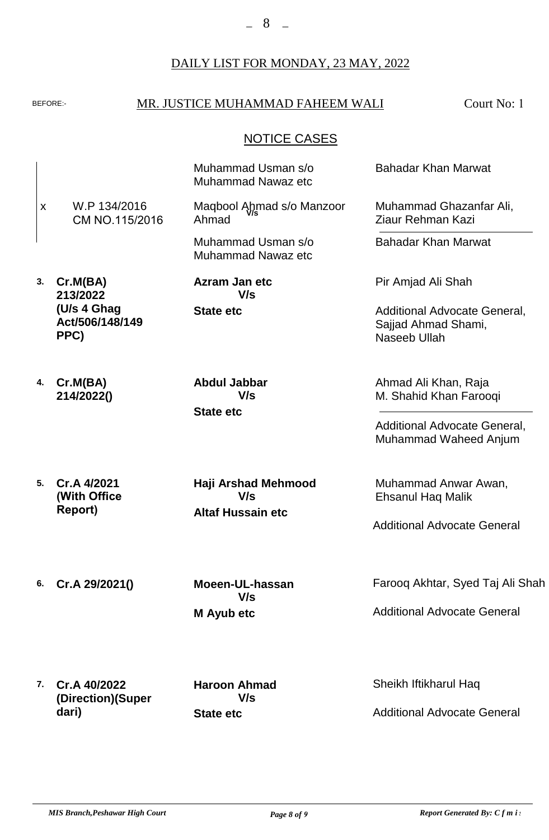#### BEFORE: MR. JUSTICE MUHAMMAD FAHEEM WALI

Court No: 1

#### NOTICE CASES

**3. Cr.M(BA) 4. Cr.M(BA) 5. Cr.A 4/2021 6. Cr.A 29/2021() 7. Cr.A 40/2022 213/2022 (U/s 4 Ghag Act/506/148/149 PPC) 214/2022() (Direction)(Super dari) State etc State etc Altaf Hussain etc M Ayub etc State etc** W.P 134/2016 CM NO.115/2016 Muhammad Usman s/o Muhammad Nawaz etc Muhammad Usman s/o Muhammad Nawaz etc **Azram Jan etc Abdul Jabbar Haji Arshad Mehmood Moeen-UL-hassan Haroon Ahmad** Farooq Akhtar, Syed Taj Ali Shah Sheikh Iftikharul Haq Additional Advocate General, Muhammad Waheed Anjum Muhammad Anwar Awan, Ehsanul Haq Malik Additional Advocate General Additional Advocate General Additional Advocate General **V/s V/s V/s V/s V/s** x Maqbool Ahmad s/o Manzoor Ahmad **V/s** Bahadar Khan Marwat Muhammad Ghazanfar Ali, Ziaur Rehman Kazi Bahadar Khan Marwat Pir Amjad Ali Shah Additional Advocate General, Sajjad Ahmad Shami, Naseeb Ullah Ahmad Ali Khan, Raja M. Shahid Khan Farooqi **(With Office Report)**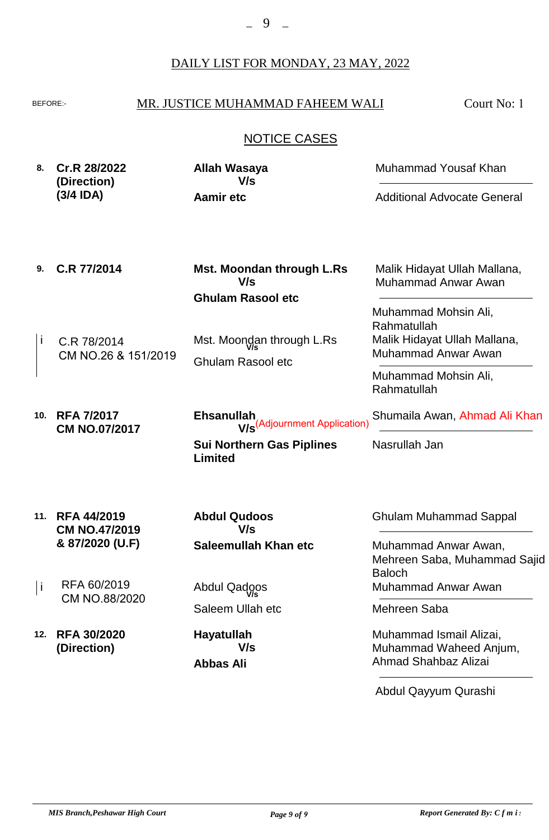## BEFORE: MR. JUSTICE MUHAMMAD FAHEEM WALI

Court No: 1

# NOTICE CASES

|  | 8. Cr.R 28/2022<br>(Direction) | Allah Wasaya<br>V/s | Muhammad Yousaf Khan               |
|--|--------------------------------|---------------------|------------------------------------|
|  | $(3/4$ IDA)                    | Aamir etc           | <b>Additional Advocate General</b> |

| 9.  | C.R 77/2014                                | Mst. Moondan through L.Rs<br>V/s                              | Malik Hidayat Ullah Mallana,<br><b>Muhammad Anwar Awan</b>                                 |
|-----|--------------------------------------------|---------------------------------------------------------------|--------------------------------------------------------------------------------------------|
|     |                                            | <b>Ghulam Rasool etc</b>                                      |                                                                                            |
| I   | C.R 78/2014<br>CM NO.26 & 151/2019         | Mst. Moondan through L.Rs<br><b>Ghulam Rasool etc</b>         | Muhammad Mohsin Ali,<br>Rahmatullah<br>Malik Hidayat Ullah Mallana,<br>Muhammad Anwar Awan |
|     |                                            |                                                               | Muhammad Mohsin Ali,<br>Rahmatullah                                                        |
| 10. | <b>RFA 7/2017</b><br><b>CM NO.07/2017</b>  | <b>Ehsanullah</b><br>W <sub>S</sub> (Adjournment Application) | Shumaila Awan, Ahmad Ali Khan                                                              |
|     |                                            | <b>Sui Northern Gas Piplines</b><br>Limited                   | Nasrullah Jan                                                                              |
| 11. | <b>RFA 44/2019</b><br><b>CM NO.47/2019</b> | <b>Abdul Qudoos</b><br>V/s                                    | <b>Ghulam Muhammad Sappal</b>                                                              |
|     | & 87/2020 (U.F)                            | Saleemullah Khan etc                                          | Muhammad Anwar Awan,<br>Mehreen Saba, Muhammad Sajid<br><b>Baloch</b>                      |
| j   | RFA 60/2019                                | Abdul Qadoos                                                  | Muhammad Anwar Awan                                                                        |
|     | CM NO.88/2020                              | Saleem Ullah etc                                              | Mehreen Saba                                                                               |
| 12. | <b>RFA 30/2020</b><br>(Direction)          | Hayatullah<br>V/s<br><b>Abbas Ali</b>                         | Muhammad Ismail Alizai,<br>Muhammad Waheed Anjum,<br><b>Ahmad Shahbaz Alizai</b>           |

Abdul Qayyum Qurashi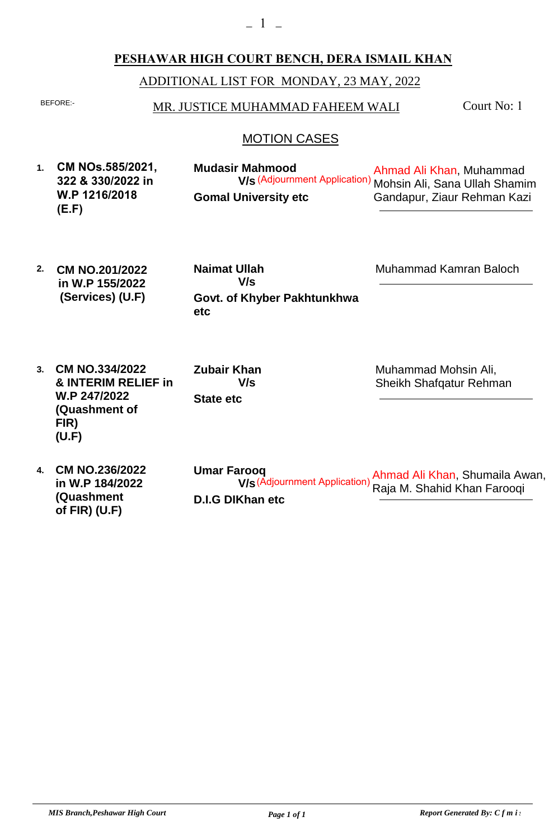#### **PESHAWAR HIGH COURT BENCH, DERA ISMAIL KHAN**

ADDITIONAL LIST FOR MONDAY, 23 MAY, 2022

## BEFORE:- MR. JUSTICE MUHAMMAD FAHEEM WALI

Court No: 1

#### MOTION CASES

- **1. CM NOs.585/2021, Gomal University etc Mudasir Mahmood** Ahmad Ali Khan, Muhammad **V/s** (Adjournment Application) Mohsin Ali, Sana Ullah Shamim Gandapur, Ziaur Rehman Kazi **322 & 330/2022 in W.P 1216/2018 (E.F)**
- **2. Govt. of Khyber Pakhtunkhwa etc Naimat Ullah V/s CM NO.201/2022 in W.P 155/2022 (Services) (U.F)**

Muhammad Kamran Baloch

**3. CM NO.334/2022 & INTERIM RELIEF in W.P 247/2022 (Quashment of FIR) (U.F)**

**State etc Zubair Khan V/s**

Muhammad Mohsin Ali, Sheikh Shafqatur Rehman

**4. CM NO.236/2022 D.I.G DIKhan etc Umar Farooq** Ahmad Ali Khan, Shumaila Awan, Raja M. Shahid Khan Farooqi **V/s** (Adjournment Application)**in W.P 184/2022 (Quashment of FIR) (U.F)**